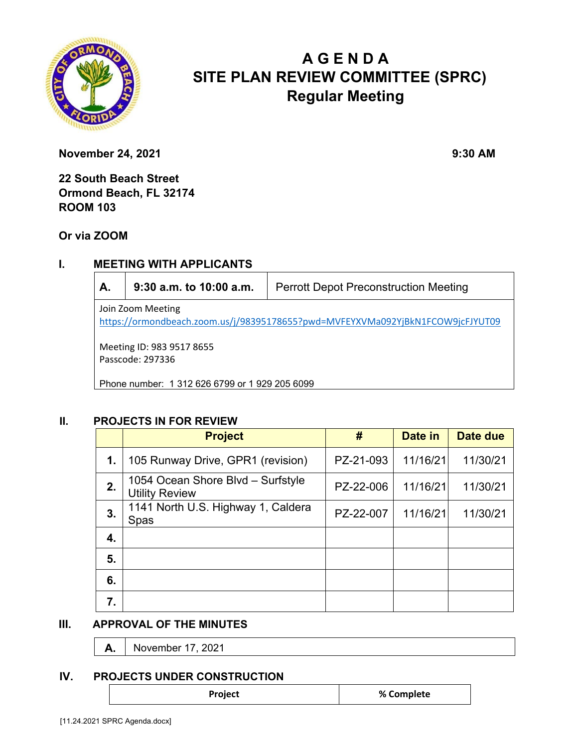

# **A G E N D A SITE PLAN REVIEW COMMITTEE (SPRC) Regular Meeting**

**November 24, 2021** 9:30 AM

**22 South Beach Street Ormond Beach, FL 32174 ROOM 103** 

**Or via ZOOM**

## **I. MEETING WITH APPLICANTS**

| А.                                                                                                  | $9:30$ a.m. to 10:00 a.m. | <b>Perrott Depot Preconstruction Meeting</b> |  |  |  |
|-----------------------------------------------------------------------------------------------------|---------------------------|----------------------------------------------|--|--|--|
| Join Zoom Meeting<br>https://ormondbeach.zoom.us/j/98395178655?pwd=MVFEYXVMa092YjBkN1FCOW9jcFJYUT09 |                           |                                              |  |  |  |
| Meeting ID: 983 9517 8655<br>Passcode: 297336                                                       |                           |                                              |  |  |  |
| Phone number: 1 312 626 6799 or 1 929 205 6099                                                      |                           |                                              |  |  |  |

#### **II. PROJECTS IN FOR REVIEW**

|    | <b>Project</b>                                             | #         | Date in  | Date due |
|----|------------------------------------------------------------|-----------|----------|----------|
| 1. | 105 Runway Drive, GPR1 (revision)                          | PZ-21-093 | 11/16/21 | 11/30/21 |
| 2. | 1054 Ocean Shore Blvd - Surfstyle<br><b>Utility Review</b> | PZ-22-006 | 11/16/21 | 11/30/21 |
| 3. | 1141 North U.S. Highway 1, Caldera<br>Spas                 | PZ-22-007 | 11/16/21 | 11/30/21 |
| 4. |                                                            |           |          |          |
| 5. |                                                            |           |          |          |
| 6. |                                                            |           |          |          |
| 7. |                                                            |           |          |          |

#### **III. APPROVAL OF THE MINUTES**

**A.** November 17, 2021

#### **IV. PROJECTS UNDER CONSTRUCTION**

**Project 8 2012 12 2013 12 2014 12 2014 12 2014 12 2014 12 2014 12 2014 12 2014 12 2014 12 2014 12 2014 12 2014 12 2014 12 2014 12 2014 12 2014 12 2014 12 2014 12 2014 12 2014 12 2014 12 2014 12 2014 12 2014 12 2014 12 2**